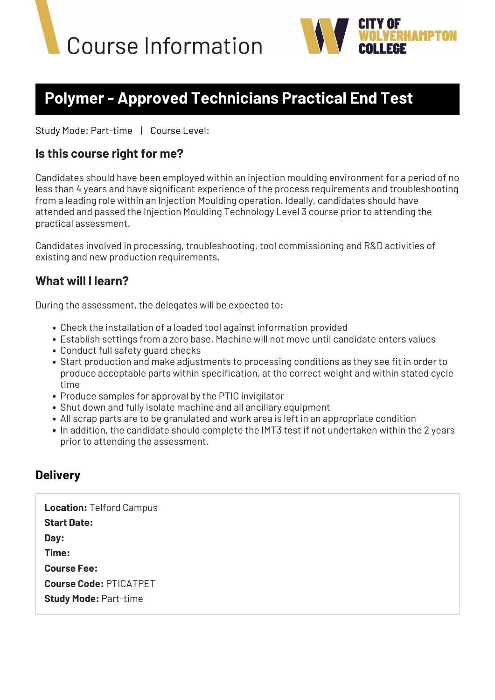



## **Polymer - Approved Technicians Practical End Test**

Study Mode: Part-time | Course Level:

## **Is this course right for me?**

Candidates should have been employed within an injection moulding environment for a period of no less than 4 years and have significant experience of the process requirements and troubleshooting from a leading role within an Injection Moulding operation. Ideally, candidates should have attended and passed the Injection Moulding Technology Level 3 course prior to attending the practical assessment.

Candidates involved in processing, troubleshooting, tool commissioning and R&D activities of existing and new production requirements.

## **What will I learn?**

During the assessment, the delegates will be expected to:

- Check the installation of a loaded tool against information provided
- Establish settings from a zero base. Machine will not move until candidate enters values
- Conduct full safety quard checks
- Start production and make adjustments to processing conditions as they see fit in order to produce acceptable parts within specification, at the correct weight and within stated cycle time
- Produce samples for approval by the PTIC invigilator
- Shut down and fully isolate machine and all ancillary equipment
- All scrap parts are to be granulated and work area is left in an appropriate condition
- In addition, the candidate should complete the IMT3 test if not undertaken within the 2 years prior to attending the assessment.

## **Delivery**

**Location:** Telford Campus **Start Date: Day: Time: Course Fee: Course Code:** PTICATPET **Study Mode:** Part-time